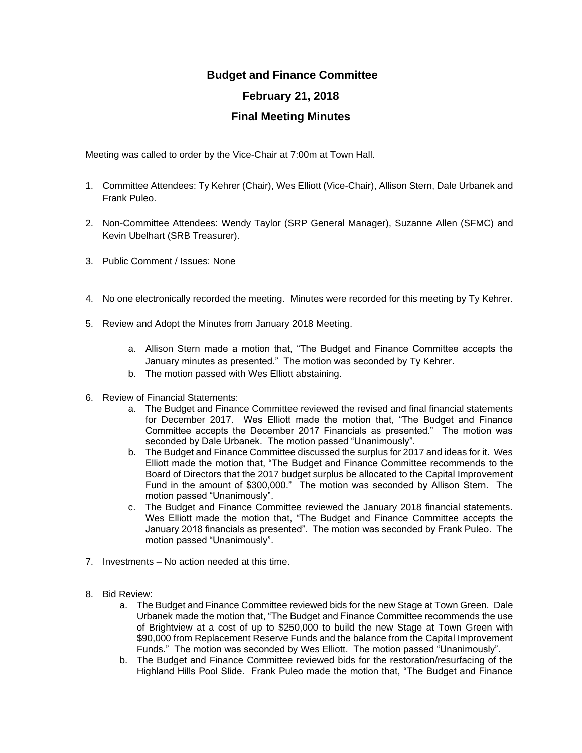## **Budget and Finance Committee February 21, 2018 Final Meeting Minutes**

Meeting was called to order by the Vice-Chair at 7:00m at Town Hall.

- 1. Committee Attendees: Ty Kehrer (Chair), Wes Elliott (Vice-Chair), Allison Stern, Dale Urbanek and Frank Puleo.
- 2. Non-Committee Attendees: Wendy Taylor (SRP General Manager), Suzanne Allen (SFMC) and Kevin Ubelhart (SRB Treasurer).
- 3. Public Comment / Issues: None
- 4. No one electronically recorded the meeting. Minutes were recorded for this meeting by Ty Kehrer.
- 5. Review and Adopt the Minutes from January 2018 Meeting.
	- a. Allison Stern made a motion that, "The Budget and Finance Committee accepts the January minutes as presented." The motion was seconded by Ty Kehrer.
	- b. The motion passed with Wes Elliott abstaining.
- 6. Review of Financial Statements:
	- a. The Budget and Finance Committee reviewed the revised and final financial statements for December 2017. Wes Elliott made the motion that, "The Budget and Finance Committee accepts the December 2017 Financials as presented." The motion was seconded by Dale Urbanek. The motion passed "Unanimously".
	- b. The Budget and Finance Committee discussed the surplus for 2017 and ideas for it. Wes Elliott made the motion that, "The Budget and Finance Committee recommends to the Board of Directors that the 2017 budget surplus be allocated to the Capital Improvement Fund in the amount of \$300,000." The motion was seconded by Allison Stern. The motion passed "Unanimously".
	- c. The Budget and Finance Committee reviewed the January 2018 financial statements. Wes Elliott made the motion that, "The Budget and Finance Committee accepts the January 2018 financials as presented". The motion was seconded by Frank Puleo. The motion passed "Unanimously".
- 7. Investments No action needed at this time.
- 8. Bid Review:
	- a. The Budget and Finance Committee reviewed bids for the new Stage at Town Green. Dale Urbanek made the motion that, "The Budget and Finance Committee recommends the use of Brightview at a cost of up to \$250,000 to build the new Stage at Town Green with \$90,000 from Replacement Reserve Funds and the balance from the Capital Improvement Funds." The motion was seconded by Wes Elliott. The motion passed "Unanimously".
	- b. The Budget and Finance Committee reviewed bids for the restoration/resurfacing of the Highland Hills Pool Slide. Frank Puleo made the motion that, "The Budget and Finance